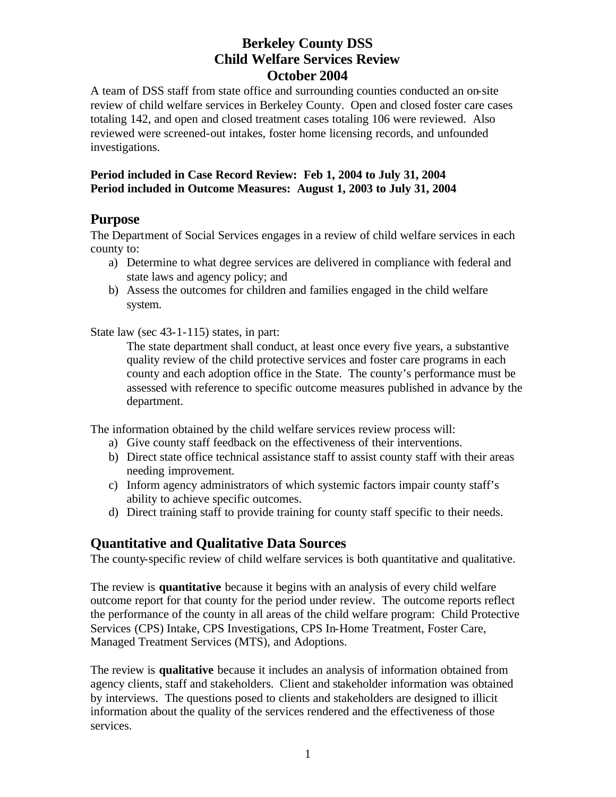A team of DSS staff from state office and surrounding counties conducted an on-site review of child welfare services in Berkeley County. Open and closed foster care cases totaling 142, and open and closed treatment cases totaling 106 were reviewed. Also reviewed were screened-out intakes, foster home licensing records, and unfounded investigations.

## **Period included in Case Record Review: Feb 1, 2004 to July 31, 2004 Period included in Outcome Measures: August 1, 2003 to July 31, 2004**

## **Purpose**

The Department of Social Services engages in a review of child welfare services in each county to:

- a) Determine to what degree services are delivered in compliance with federal and state laws and agency policy; and
- b) Assess the outcomes for children and families engaged in the child welfare system.

State law (sec 43-1-115) states, in part:

The state department shall conduct, at least once every five years, a substantive quality review of the child protective services and foster care programs in each county and each adoption office in the State. The county's performance must be assessed with reference to specific outcome measures published in advance by the department.

The information obtained by the child welfare services review process will:

- a) Give county staff feedback on the effectiveness of their interventions.
- b) Direct state office technical assistance staff to assist county staff with their areas needing improvement.
- c) Inform agency administrators of which systemic factors impair county staff's ability to achieve specific outcomes.
- d) Direct training staff to provide training for county staff specific to their needs.

# **Quantitative and Qualitative Data Sources**

The county-specific review of child welfare services is both quantitative and qualitative.

The review is **quantitative** because it begins with an analysis of every child welfare outcome report for that county for the period under review. The outcome reports reflect the performance of the county in all areas of the child welfare program: Child Protective Services (CPS) Intake, CPS Investigations, CPS In-Home Treatment, Foster Care, Managed Treatment Services (MTS), and Adoptions.

The review is **qualitative** because it includes an analysis of information obtained from agency clients, staff and stakeholders. Client and stakeholder information was obtained by interviews. The questions posed to clients and stakeholders are designed to illicit information about the quality of the services rendered and the effectiveness of those services.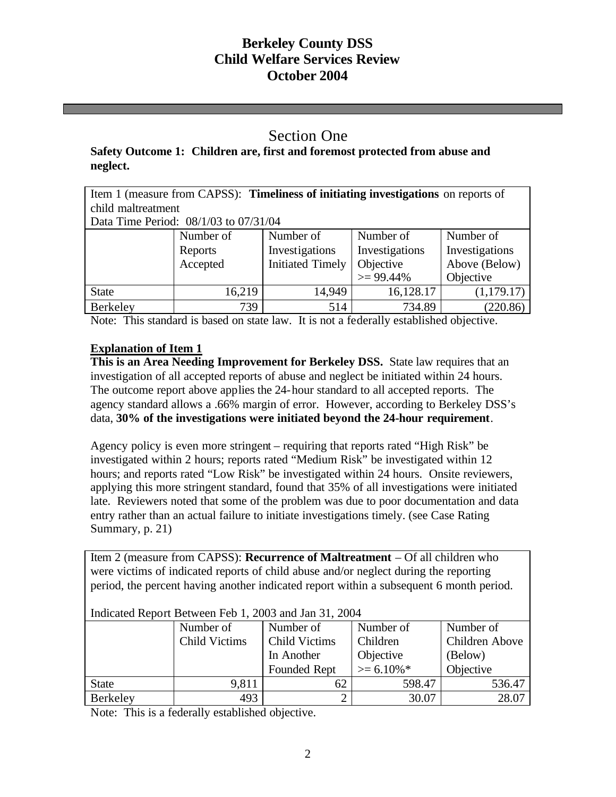## Section One

## **Safety Outcome 1: Children are, first and foremost protected from abuse and neglect.**

Item 1 (measure from CAPSS): **Timeliness of initiating investigations** on reports of child maltreatment

Data Time Period: 08/1/03 to 07/31/04

|              | Number of | Number of               | Number of      | Number of      |
|--------------|-----------|-------------------------|----------------|----------------|
|              | Reports   | Investigations          | Investigations | Investigations |
|              | Accepted  | <b>Initiated Timely</b> | Objective      | Above (Below)  |
|              |           |                         | $>= 99.44\%$   | Objective      |
| <b>State</b> | 16,219    | 14,949                  | 16,128.17      | (1, 179.17)    |
| Berkeley     | 739       | 514                     | 734.89         | (220.86)       |

Note: This standard is based on state law. It is not a federally established objective.

## **Explanation of Item 1**

**This is an Area Needing Improvement for Berkeley DSS.** State law requires that an investigation of all accepted reports of abuse and neglect be initiated within 24 hours. The outcome report above applies the 24-hour standard to all accepted reports. The agency standard allows a .66% margin of error. However, according to Berkeley DSS's data, **30% of the investigations were initiated beyond the 24-hour requirement**.

Agency policy is even more stringent – requiring that reports rated "High Risk" be investigated within 2 hours; reports rated "Medium Risk" be investigated within 12 hours; and reports rated "Low Risk" be investigated within 24 hours. Onsite reviewers, applying this more stringent standard, found that 35% of all investigations were initiated late. Reviewers noted that some of the problem was due to poor documentation and data entry rather than an actual failure to initiate investigations timely. (see Case Rating Summary, p. 21)

Item 2 (measure from CAPSS): **Recurrence of Maltreatment** – Of all children who were victims of indicated reports of child abuse and/or neglect during the reporting period, the percent having another indicated report within a subsequent 6 month period.

| Indicated Report Between Feb 1, 2005 and Jan 31, 2004 |               |                      |                 |                |
|-------------------------------------------------------|---------------|----------------------|-----------------|----------------|
|                                                       | Number of     | Number of            | Number of       | Number of      |
|                                                       | Child Victims | <b>Child Victims</b> | Children        | Children Above |
|                                                       |               | In Another           | Objective       | (Below)        |
|                                                       |               | Founded Rept         | $\geq 6.10\%$ * | Objective      |
| <b>State</b>                                          | 9,811         | 62                   | 598.47          | 536.47         |
| Berkeley                                              | 493           |                      | 30.07           | 28.07          |

Indicated Report Between Feb 1, 2003 and Jan 31, 2004

Note: This is a federally established objective.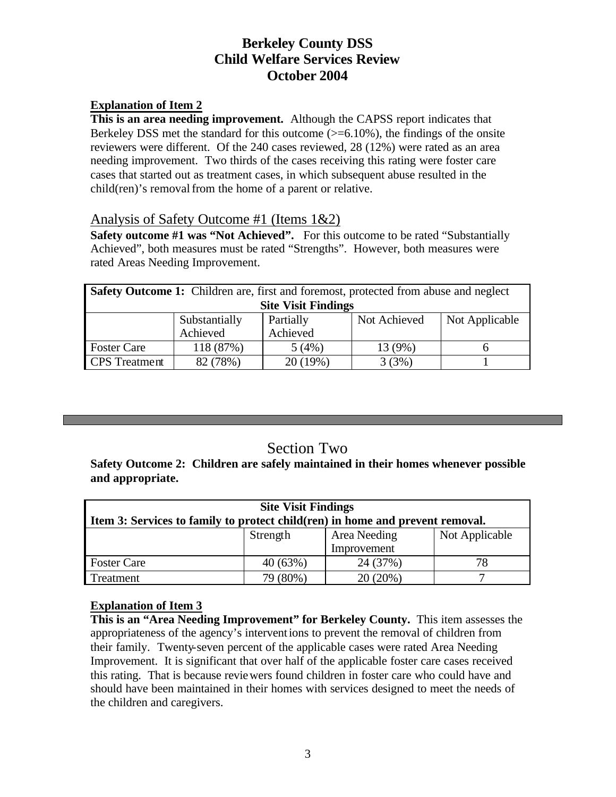## **Explanation of Item 2**

**This is an area needing improvement.** Although the CAPSS report indicates that Berkeley DSS met the standard for this outcome  $(>= 6.10\%)$ , the findings of the onsite reviewers were different. Of the 240 cases reviewed, 28 (12%) were rated as an area needing improvement. Two thirds of the cases receiving this rating were foster care cases that started out as treatment cases, in which subsequent abuse resulted in the child(ren)'s removal from the home of a parent or relative.

## Analysis of Safety Outcome #1 (Items 1&2)

**Safety outcome #1 was "Not Achieved".** For this outcome to be rated "Substantially" Achieved", both measures must be rated "Strengths". However, both measures were rated Areas Needing Improvement.

| <b>Safety Outcome 1:</b> Children are, first and foremost, protected from abuse and neglect |               |           |              |                |
|---------------------------------------------------------------------------------------------|---------------|-----------|--------------|----------------|
| <b>Site Visit Findings</b>                                                                  |               |           |              |                |
|                                                                                             | Substantially | Partially | Not Achieved | Not Applicable |
|                                                                                             | Achieved      | Achieved  |              |                |
| <b>Foster Care</b>                                                                          | 118 (87%)     | 5(4%)     | 13 (9%)      |                |
| <b>CPS</b> Treatment                                                                        | 82 (78%)      | 20 (19%)  | 3(3%)        |                |

# Section Two

**Safety Outcome 2: Children are safely maintained in their homes whenever possible and appropriate.**

| <b>Site Visit Findings</b>                                                    |             |              |                |  |  |
|-------------------------------------------------------------------------------|-------------|--------------|----------------|--|--|
| Item 3: Services to family to protect child(ren) in home and prevent removal. |             |              |                |  |  |
|                                                                               | Strength    | Area Needing | Not Applicable |  |  |
|                                                                               | Improvement |              |                |  |  |
| <b>Foster Care</b>                                                            | 40(63%)     | 24 (37%)     | 78             |  |  |
| Treatment                                                                     | 79 (80%)    | 20 (20%)     |                |  |  |

## **Explanation of Item 3**

**This is an "Area Needing Improvement" for Berkeley County.** This item assesses the appropriateness of the agency's interventions to prevent the removal of children from their family. Twenty-seven percent of the applicable cases were rated Area Needing Improvement. It is significant that over half of the applicable foster care cases received this rating. That is because reviewers found children in foster care who could have and should have been maintained in their homes with services designed to meet the needs of the children and caregivers.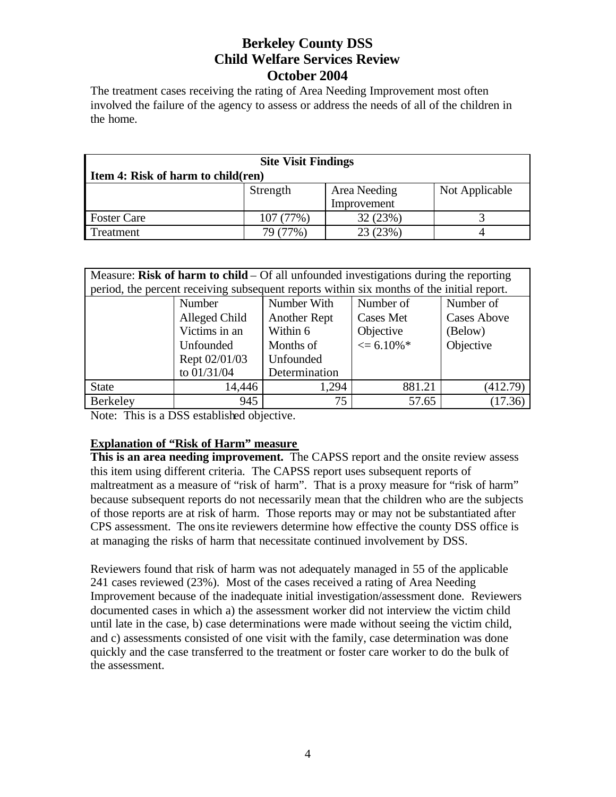The treatment cases receiving the rating of Area Needing Improvement most often involved the failure of the agency to assess or address the needs of all of the children in the home.

| <b>Site Visit Findings</b>                 |             |          |  |  |  |  |
|--------------------------------------------|-------------|----------|--|--|--|--|
| I tem 4: Risk of harm to child(ren)        |             |          |  |  |  |  |
| Area Needing<br>Not Applicable<br>Strength |             |          |  |  |  |  |
|                                            | Improvement |          |  |  |  |  |
| <b>Foster Care</b>                         | 107(77%)    | 32 (23%) |  |  |  |  |
| Treatment                                  | 7%          | 23 (23%) |  |  |  |  |

| Measure: Risk of harm to child $-$ Of all unfounded investigations during the reporting |                                                                                           |                     |                 |                    |  |  |
|-----------------------------------------------------------------------------------------|-------------------------------------------------------------------------------------------|---------------------|-----------------|--------------------|--|--|
|                                                                                         | period, the percent receiving subsequent reports within six months of the initial report. |                     |                 |                    |  |  |
|                                                                                         | Number                                                                                    | Number With         | Number of       | Number of          |  |  |
|                                                                                         | Alleged Child                                                                             | <b>Another Rept</b> | Cases Met       | <b>Cases Above</b> |  |  |
|                                                                                         | Victims in an                                                                             | Within 6            | Objective       | (Below)            |  |  |
|                                                                                         | Unfounded                                                                                 | Months of           | $\leq 6.10\%$ * | Objective          |  |  |
|                                                                                         | Rept 02/01/03                                                                             | Unfounded           |                 |                    |  |  |
|                                                                                         | to 01/31/04                                                                               | Determination       |                 |                    |  |  |
| <b>State</b>                                                                            | 14,446                                                                                    | 1,294               | 881.21          | (412.79)           |  |  |
| Berkeley                                                                                | 945                                                                                       | 75                  | 57.65           | (17.36)            |  |  |

Note: This is a DSS established objective.

## **Explanation of "Risk of Harm" measure**

**This is an area needing improvement.** The CAPSS report and the onsite review assess this item using different criteria. The CAPSS report uses subsequent reports of maltreatment as a measure of "risk of harm". That is a proxy measure for "risk of harm" because subsequent reports do not necessarily mean that the children who are the subjects of those reports are at risk of harm. Those reports may or may not be substantiated after CPS assessment. The onsite reviewers determine how effective the county DSS office is at managing the risks of harm that necessitate continued involvement by DSS.

Reviewers found that risk of harm was not adequately managed in 55 of the applicable 241 cases reviewed (23%). Most of the cases received a rating of Area Needing Improvement because of the inadequate initial investigation/assessment done. Reviewers documented cases in which a) the assessment worker did not interview the victim child until late in the case, b) case determinations were made without seeing the victim child, and c) assessments consisted of one visit with the family, case determination was done quickly and the case transferred to the treatment or foster care worker to do the bulk of the assessment.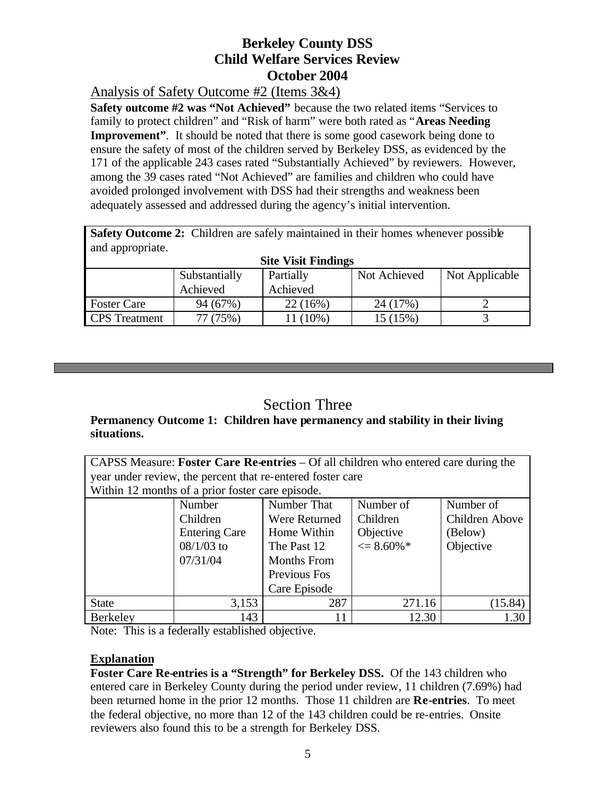Analysis of Safety Outcome #2 (Items 3&4)

**Safety outcome #2 was "Not Achieved"** because the two related items "Services to family to protect children" and "Risk of harm" were both rated as "**Areas Needing Improvement**". It should be noted that there is some good casework being done to ensure the safety of most of the children served by Berkeley DSS, as evidenced by the 171 of the applicable 243 cases rated "Substantially Achieved" by reviewers. However, among the 39 cases rated "Not Achieved" are families and children who could have avoided prolonged involvement with DSS had their strengths and weakness been adequately assessed and addressed during the agency's initial intervention.

**Safety Outcome 2:** Children are safely maintained in their homes whenever possible and appropriate.

| <b>Site Visit Findings</b> |               |           |              |                |
|----------------------------|---------------|-----------|--------------|----------------|
|                            | Substantially | Partially | Not Achieved | Not Applicable |
|                            | Achieved      | Achieved  |              |                |
| <b>Foster Care</b>         | 94 (67%)      | 22(16%)   | 24 (17%)     |                |
| <b>CPS</b> Treatment       | 77 (75%)      | $(10\%)$  | 15 (15%)     |                |

# Section Three

## **Permanency Outcome 1: Children have permanency and stability in their living situations.**

CAPSS Measure: **Foster Care Re-entries** – Of all children who entered care during the year under review, the percent that re-entered foster care Within 12 months of a prior foster care episode.

| $\alpha$ ranning the intention of a prior roster care episode. |                       |                    |                       |                |
|----------------------------------------------------------------|-----------------------|--------------------|-----------------------|----------------|
|                                                                | Number That<br>Number |                    | Number of             | Number of      |
|                                                                | Children              | Were Returned      | Children              | Children Above |
|                                                                | <b>Entering Care</b>  | Home Within        | Objective             | (Below)        |
|                                                                | $08/1/03$ to          | The Past 12        | $\epsilon = 8.60\%$ * | Objective      |
|                                                                | 07/31/04              | <b>Months From</b> |                       |                |
|                                                                |                       | Previous Fos       |                       |                |
|                                                                |                       | Care Episode       |                       |                |
| <b>State</b>                                                   | 3,153                 | 287                | 271.16                | (15.84)        |
| Berkeley                                                       | 143                   | 11                 | 12.30                 | 1.30           |

Note: This is a federally established objective.

## **Explanation**

**Foster Care Re-entries is a "Strength" for Berkeley DSS.** Of the 143 children who entered care in Berkeley County during the period under review, 11 children (7.69%) had been returned home in the prior 12 months. Those 11 children are **Re-entries**. To meet the federal objective, no more than 12 of the 143 children could be re-entries. Onsite reviewers also found this to be a strength for Berkeley DSS.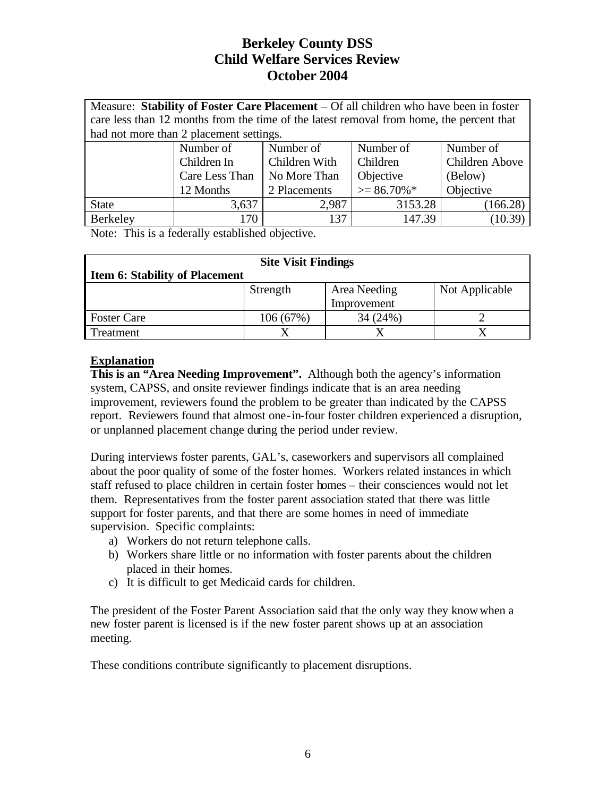| Measure: Stability of Foster Care Placement – Of all children who have been in foster    |                                                          |                                             |         |          |  |  |
|------------------------------------------------------------------------------------------|----------------------------------------------------------|---------------------------------------------|---------|----------|--|--|
| care less than 12 months from the time of the latest removal from home, the percent that |                                                          |                                             |         |          |  |  |
|                                                                                          | had not more than 2 placement settings.                  |                                             |         |          |  |  |
|                                                                                          | Number of                                                | Number of<br>Number of<br>Number of         |         |          |  |  |
|                                                                                          | Children In                                              | Children Above<br>Children With<br>Children |         |          |  |  |
|                                                                                          | Objective<br>Care Less Than<br>No More Than<br>(Below)   |                                             |         |          |  |  |
|                                                                                          | $>= 86.70\% *$<br>Objective<br>12 Months<br>2 Placements |                                             |         |          |  |  |
| <b>State</b>                                                                             | 3,637                                                    | 2,987                                       | 3153.28 | (166.28) |  |  |
| Berkeley                                                                                 | 170                                                      | 137                                         | 147.39  | (10.39)  |  |  |

Note: This is a federally established objective.

| <b>Site Visit Findings</b>            |             |              |                |  |  |  |
|---------------------------------------|-------------|--------------|----------------|--|--|--|
| <b>Item 6: Stability of Placement</b> |             |              |                |  |  |  |
|                                       | Strength    | Area Needing | Not Applicable |  |  |  |
|                                       | Improvement |              |                |  |  |  |
| <b>Foster Care</b>                    | 106(67%)    | 34(24%)      |                |  |  |  |
| Treatment                             |             |              |                |  |  |  |

#### **Explanation**

**This is an "Area Needing Improvement".** Although both the agency's information system, CAPSS, and onsite reviewer findings indicate that is an area needing improvement, reviewers found the problem to be greater than indicated by the CAPSS report. Reviewers found that almost one-in-four foster children experienced a disruption, or unplanned placement change during the period under review.

During interviews foster parents, GAL's, caseworkers and supervisors all complained about the poor quality of some of the foster homes. Workers related instances in which staff refused to place children in certain foster homes – their consciences would not let them. Representatives from the foster parent association stated that there was little support for foster parents, and that there are some homes in need of immediate supervision. Specific complaints:

- a) Workers do not return telephone calls.
- b) Workers share little or no information with foster parents about the children placed in their homes.
- c) It is difficult to get Medicaid cards for children.

The president of the Foster Parent Association said that the only way they know when a new foster parent is licensed is if the new foster parent shows up at an association meeting.

These conditions contribute significantly to placement disruptions.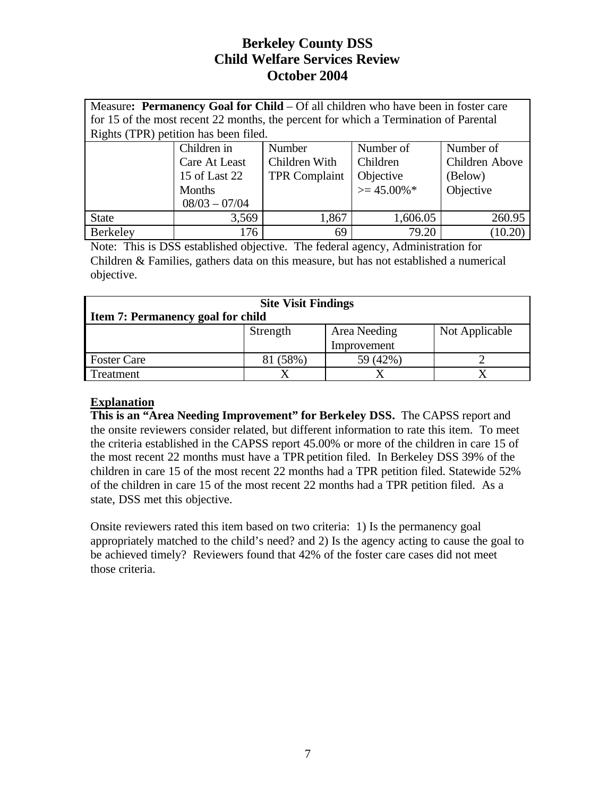Measure: **Permanency Goal for Child** – Of all children who have been in foster care for 15 of the most recent 22 months, the percent for which a Termination of Parental Rights (TPR) petition has been filed.

| $\circ$      |                 |                      |                |                |
|--------------|-----------------|----------------------|----------------|----------------|
|              | Children in     | Number               | Number of      | Number of      |
|              | Care At Least   | Children With        | Children       | Children Above |
|              | 15 of Last 22   | <b>TPR Complaint</b> | Objective      | (Below)        |
|              | <b>Months</b>   |                      | $\geq$ 45.00%* | Objective      |
|              | $08/03 - 07/04$ |                      |                |                |
| <b>State</b> | 3,569           | 1,867                | 1,606.05       | 260.95         |
| Berkeley     | 176             | 69                   | 79.20          | (10.20)        |

Note: This is DSS established objective. The federal agency, Administration for Children & Families, gathers data on this measure, but has not established a numerical objective.

| <b>Site Visit Findings</b>               |             |              |                |  |  |  |
|------------------------------------------|-------------|--------------|----------------|--|--|--|
| <b>Item 7: Permanency goal for child</b> |             |              |                |  |  |  |
|                                          | Strength    | Area Needing | Not Applicable |  |  |  |
|                                          | Improvement |              |                |  |  |  |
| <b>Foster Care</b>                       | 81 (58%)    | 59 (42%)     |                |  |  |  |
| Treatment                                |             |              |                |  |  |  |

## **Explanation**

**This is an "Area Needing Improvement" for Berkeley DSS.** The CAPSS report and the onsite reviewers consider related, but different information to rate this item. To meet the criteria established in the CAPSS report 45.00% or more of the children in care 15 of the most recent 22 months must have a TPR petition filed. In Berkeley DSS 39% of the children in care 15 of the most recent 22 months had a TPR petition filed. Statewide 52% of the children in care 15 of the most recent 22 months had a TPR petition filed. As a state, DSS met this objective.

Onsite reviewers rated this item based on two criteria: 1) Is the permanency goal appropriately matched to the child's need? and 2) Is the agency acting to cause the goal to be achieved timely? Reviewers found that 42% of the foster care cases did not meet those criteria.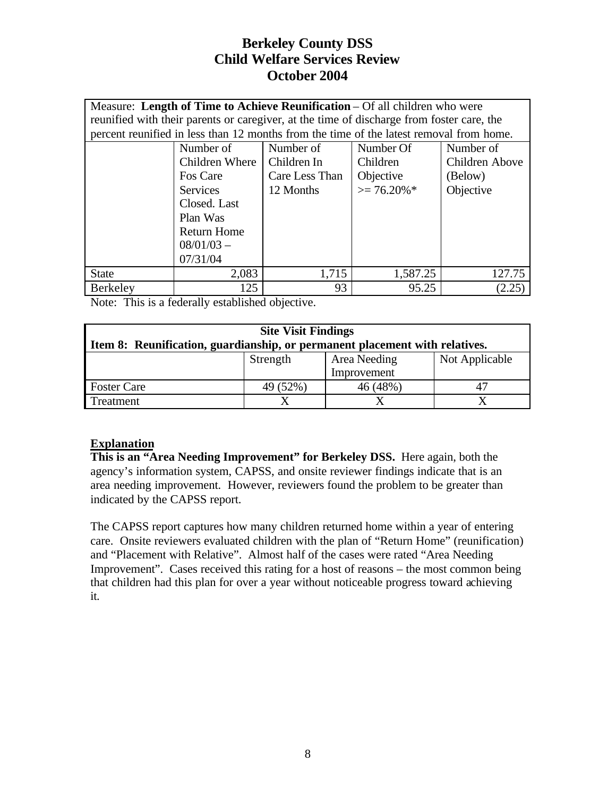|                 | Measure: Length of Time to Achieve Reunification – Of all children who were               |                                          |           |                |  |  |
|-----------------|-------------------------------------------------------------------------------------------|------------------------------------------|-----------|----------------|--|--|
|                 | reunified with their parents or caregiver, at the time of discharge from foster care, the |                                          |           |                |  |  |
|                 | percent reunified in less than 12 months from the time of the latest removal from home.   |                                          |           |                |  |  |
|                 | Number of                                                                                 | Number of                                | Number Of | Number of      |  |  |
|                 | Children Where                                                                            | Children In                              | Children  | Children Above |  |  |
|                 | Fos Care                                                                                  | Care Less Than                           | Objective | (Below)        |  |  |
|                 | <b>Services</b>                                                                           | $\geq$ 76.20%*<br>Objective<br>12 Months |           |                |  |  |
|                 | Closed. Last                                                                              |                                          |           |                |  |  |
|                 | Plan Was                                                                                  |                                          |           |                |  |  |
|                 | <b>Return Home</b>                                                                        |                                          |           |                |  |  |
|                 | $08/01/03 -$                                                                              |                                          |           |                |  |  |
| 07/31/04        |                                                                                           |                                          |           |                |  |  |
| <b>State</b>    | 2,083                                                                                     | 1,715                                    | 1,587.25  | 127.75         |  |  |
| <b>Berkeley</b> | 125                                                                                       | 93                                       | 95.25     | (2.25          |  |  |

Note: This is a federally established objective.

| <b>Site Visit Findings</b>                                                  |             |  |  |  |  |  |
|-----------------------------------------------------------------------------|-------------|--|--|--|--|--|
| Item 8: Reunification, guardianship, or permanent placement with relatives. |             |  |  |  |  |  |
| Not Applicable<br>Area Needing<br>Strength                                  |             |  |  |  |  |  |
|                                                                             | Improvement |  |  |  |  |  |
| 46 (48%)<br><b>Foster Care</b><br>49 (52%)                                  |             |  |  |  |  |  |
| Treatment                                                                   |             |  |  |  |  |  |

## **Explanation**

**This is an "Area Needing Improvement" for Berkeley DSS.** Here again, both the agency's information system, CAPSS, and onsite reviewer findings indicate that is an area needing improvement. However, reviewers found the problem to be greater than indicated by the CAPSS report.

The CAPSS report captures how many children returned home within a year of entering care. Onsite reviewers evaluated children with the plan of "Return Home" (reunification) and "Placement with Relative". Almost half of the cases were rated "Area Needing Improvement". Cases received this rating for a host of reasons – the most common being that children had this plan for over a year without noticeable progress toward achieving it.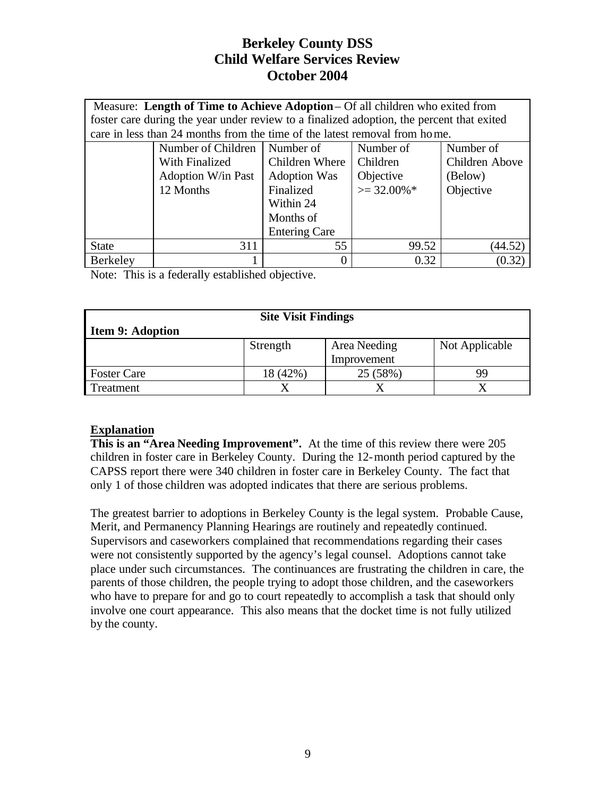|              | Measure: Length of Time to Achieve Adoption – Of all children who exited from             |                                             |                |                |  |  |
|--------------|-------------------------------------------------------------------------------------------|---------------------------------------------|----------------|----------------|--|--|
|              | foster care during the year under review to a finalized adoption, the percent that exited |                                             |                |                |  |  |
|              | care in less than 24 months from the time of the latest removal from home.                |                                             |                |                |  |  |
|              | Number of Children                                                                        | Number of                                   | Number of      | Number of      |  |  |
|              | With Finalized                                                                            | Children Where                              | Children       | Children Above |  |  |
|              | <b>Adoption W/in Past</b>                                                                 | Objective<br><b>Adoption Was</b><br>(Below) |                |                |  |  |
|              | 12 Months                                                                                 | Finalized                                   | $\geq$ 32.00%* | Objective      |  |  |
|              | Within 24                                                                                 |                                             |                |                |  |  |
|              | Months of                                                                                 |                                             |                |                |  |  |
|              | <b>Entering Care</b>                                                                      |                                             |                |                |  |  |
| <b>State</b> | 55<br>311<br>99.52<br>(44.52)                                                             |                                             |                |                |  |  |
| Berkeley     |                                                                                           |                                             | 0.32           | (0.32)         |  |  |

Note: This is a federally established objective.

| <b>Site Visit Findings</b>                 |          |          |    |  |  |
|--------------------------------------------|----------|----------|----|--|--|
| <b>Item 9: Adoption</b>                    |          |          |    |  |  |
| Not Applicable<br>Area Needing<br>Strength |          |          |    |  |  |
| Improvement                                |          |          |    |  |  |
| <b>Foster Care</b>                         | 18 (42%) | 25 (58%) | 99 |  |  |
| Treatment                                  |          |          |    |  |  |

## **Explanation**

**This is an "Area Needing Improvement".** At the time of this review there were 205 children in foster care in Berkeley County. During the 12-month period captured by the CAPSS report there were 340 children in foster care in Berkeley County. The fact that only 1 of those children was adopted indicates that there are serious problems.

The greatest barrier to adoptions in Berkeley County is the legal system. Probable Cause, Merit, and Permanency Planning Hearings are routinely and repeatedly continued. Supervisors and caseworkers complained that recommendations regarding their cases were not consistently supported by the agency's legal counsel. Adoptions cannot take place under such circumstances. The continuances are frustrating the children in care, the parents of those children, the people trying to adopt those children, and the caseworkers who have to prepare for and go to court repeatedly to accomplish a task that should only involve one court appearance. This also means that the docket time is not fully utilized by the county.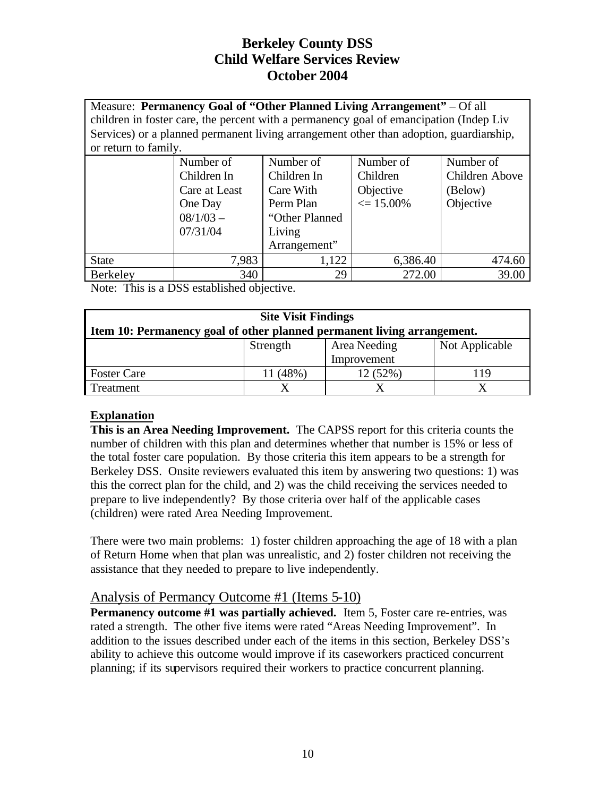Measure: **Permanency Goal of "Other Planned Living Arrangement"** – Of all children in foster care, the percent with a permanency goal of emancipation (Indep Liv Services) or a planned permanent living arrangement other than adoption, guardianship, or return to family.

|              | Number of     | Number of       | Number of            | Number of      |
|--------------|---------------|-----------------|----------------------|----------------|
|              |               |                 |                      |                |
|              | Children In   | Children In     | Children             | Children Above |
|              | Care at Least | Care With       | Objective            | (Below)        |
|              | One Day       | Perm Plan       | $\epsilon = 15.00\%$ | Objective      |
|              | $08/1/03 -$   | "Other Planned" |                      |                |
|              | 07/31/04      | Living          |                      |                |
|              |               | Arrangement"    |                      |                |
| <b>State</b> | 7,983         | 1,122           | 6,386.40             | 474.60         |
| Berkeley     | 340           | 29              | 272.00               | 39.00          |

Note: This is a DSS established objective.

| <b>Site Visit Findings</b>                                              |             |  |  |  |  |  |
|-------------------------------------------------------------------------|-------------|--|--|--|--|--|
| Item 10: Permanency goal of other planned permanent living arrangement. |             |  |  |  |  |  |
| Not Applicable<br>Area Needing<br>Strength                              |             |  |  |  |  |  |
|                                                                         | Improvement |  |  |  |  |  |
| 12(52%)<br>11 (48%)<br><b>Foster Care</b><br>119                        |             |  |  |  |  |  |
| Treatment                                                               |             |  |  |  |  |  |

## **Explanation**

**This is an Area Needing Improvement.** The CAPSS report for this criteria counts the number of children with this plan and determines whether that number is 15% or less of the total foster care population. By those criteria this item appears to be a strength for Berkeley DSS. Onsite reviewers evaluated this item by answering two questions: 1) was this the correct plan for the child, and 2) was the child receiving the services needed to prepare to live independently? By those criteria over half of the applicable cases (children) were rated Area Needing Improvement.

There were two main problems: 1) foster children approaching the age of 18 with a plan of Return Home when that plan was unrealistic, and 2) foster children not receiving the assistance that they needed to prepare to live independently.

## Analysis of Permancy Outcome #1 (Items 5-10)

**Permanency outcome #1 was partially achieved.** Item 5, Foster care re-entries, was rated a strength. The other five items were rated "Areas Needing Improvement". In addition to the issues described under each of the items in this section, Berkeley DSS's ability to achieve this outcome would improve if its caseworkers practiced concurrent planning; if its supervisors required their workers to practice concurrent planning.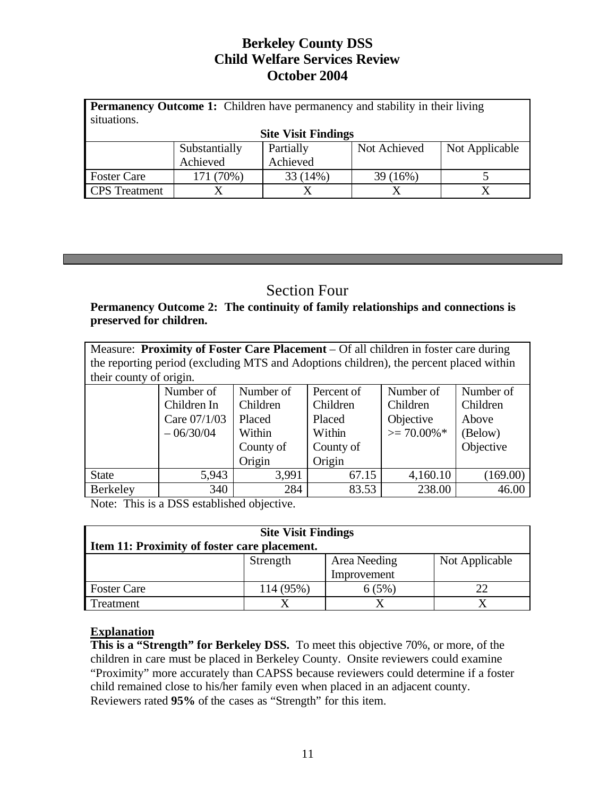| <b>Permanency Outcome 1:</b> Children have permanency and stability in their living<br>situations. |                      |           |              |                |  |  |  |
|----------------------------------------------------------------------------------------------------|----------------------|-----------|--------------|----------------|--|--|--|
| <b>Site Visit Findings</b>                                                                         |                      |           |              |                |  |  |  |
|                                                                                                    | Substantially        | Partially | Not Achieved | Not Applicable |  |  |  |
|                                                                                                    | Achieved<br>Achieved |           |              |                |  |  |  |
| <b>Foster Care</b>                                                                                 | 171 (70%)            | 33 (14%)  | 39 (16%)     |                |  |  |  |
| <b>CPS</b> Treatment                                                                               |                      |           |              |                |  |  |  |

# Section Four

## **Permanency Outcome 2: The continuity of family relationships and connections is preserved for children.**

Measure: **Proximity of Foster Care Placement** – Of all children in foster care during the reporting period (excluding MTS and Adoptions children), the percent placed within their county of origin.

|              | Number of    | Number of | Percent of | Number of      | Number of |
|--------------|--------------|-----------|------------|----------------|-----------|
|              | Children In  | Children  | Children   | Children       | Children  |
|              | Care 07/1/03 | Placed    | Placed     | Objective      | Above     |
|              | $-06/30/04$  | Within    | Within     | $\geq$ 70.00%* | (Below)   |
|              |              | County of | County of  |                | Objective |
|              |              | Origin    | Origin     |                |           |
| <b>State</b> | 5,943        | 3,991     | 67.15      | 4,160.10       | (169.00)  |
| Berkeley     | 340          | 284       | 83.53      | 238.00         | 46.00     |

Note: This is a DSS established objective.

| <b>Site Visit Findings</b>                     |             |  |  |  |  |  |
|------------------------------------------------|-------------|--|--|--|--|--|
| Item 11: Proximity of foster care placement.   |             |  |  |  |  |  |
| Not Applicable<br>Area Needing<br>Strength     |             |  |  |  |  |  |
|                                                | Improvement |  |  |  |  |  |
| 114 (95%)<br><b>Foster Care</b><br>6(5%)<br>22 |             |  |  |  |  |  |
| Treatment                                      |             |  |  |  |  |  |

## **Explanation**

**This is a "Strength" for Berkeley DSS.** To meet this objective 70%, or more, of the children in care must be placed in Berkeley County. Onsite reviewers could examine "Proximity" more accurately than CAPSS because reviewers could determine if a foster child remained close to his/her family even when placed in an adjacent county. Reviewers rated **95%** of the cases as "Strength" for this item.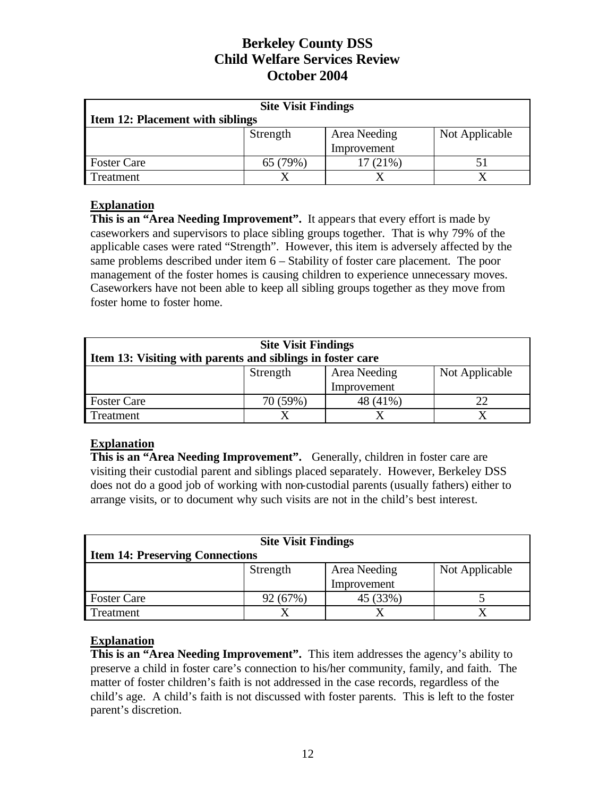| <b>Site Visit Findings</b>                 |             |         |  |  |  |  |
|--------------------------------------------|-------------|---------|--|--|--|--|
| <b>Item 12: Placement with siblings</b>    |             |         |  |  |  |  |
| Not Applicable<br>Area Needing<br>Strength |             |         |  |  |  |  |
|                                            | Improvement |         |  |  |  |  |
| <b>Foster Care</b>                         | 65 (79%)    | 17(21%) |  |  |  |  |
| Treatment                                  |             |         |  |  |  |  |

## **Explanation**

**This is an "Area Needing Improvement".** It appears that every effort is made by caseworkers and supervisors to place sibling groups together. That is why 79% of the applicable cases were rated "Strength". However, this item is adversely affected by the same problems described under item 6 – Stability of foster care placement. The poor management of the foster homes is causing children to experience unnecessary moves. Caseworkers have not been able to keep all sibling groups together as they move from foster home to foster home.

| <b>Site Visit Findings</b><br>Item 13: Visiting with parents and siblings in foster care |  |  |  |  |  |  |
|------------------------------------------------------------------------------------------|--|--|--|--|--|--|
| Area Needing<br>Not Applicable<br>Strength<br>Improvement                                |  |  |  |  |  |  |
| 48 (41%)<br><b>Foster Care</b><br>70 (59%)<br>22                                         |  |  |  |  |  |  |
| Treatment                                                                                |  |  |  |  |  |  |

## **Explanation**

This is an "Area Needing Improvement". Generally, children in foster care are visiting their custodial parent and siblings placed separately. However, Berkeley DSS does not do a good job of working with non-custodial parents (usually fathers) either to arrange visits, or to document why such visits are not in the child's best interest.

| <b>Site Visit Findings</b>                 |             |          |  |  |  |  |
|--------------------------------------------|-------------|----------|--|--|--|--|
| <b>Item 14: Preserving Connections</b>     |             |          |  |  |  |  |
| Not Applicable<br>Area Needing<br>Strength |             |          |  |  |  |  |
|                                            | Improvement |          |  |  |  |  |
| <b>Foster Care</b>                         | 92 (67%)    | 45 (33%) |  |  |  |  |
| Treatment                                  |             |          |  |  |  |  |

## **Explanation**

This is an "Area Needing Improvement". This item addresses the agency's ability to preserve a child in foster care's connection to his/her community, family, and faith. The matter of foster children's faith is not addressed in the case records, regardless of the child's age. A child's faith is not discussed with foster parents. This is left to the foster parent's discretion.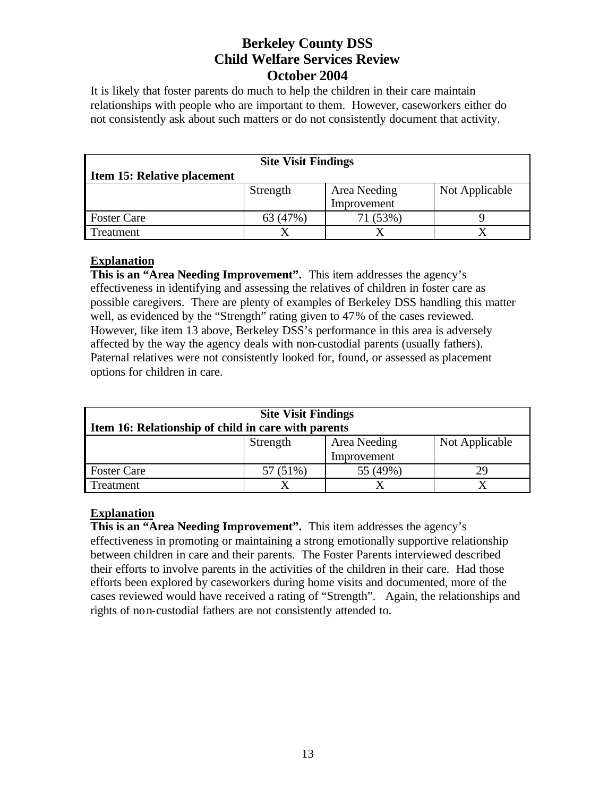It is likely that foster parents do much to help the children in their care maintain relationships with people who are important to them. However, caseworkers either do not consistently ask about such matters or do not consistently document that activity.

| <b>Site Visit Findings</b>  |          |              |                |  |  |  |
|-----------------------------|----------|--------------|----------------|--|--|--|
| Item 15: Relative placement |          |              |                |  |  |  |
|                             | Strength | Area Needing | Not Applicable |  |  |  |
| Improvement                 |          |              |                |  |  |  |
| <b>Foster Care</b>          | 63 (47%) | 71 (53%)     |                |  |  |  |
| reatment                    |          |              |                |  |  |  |

## **Explanation**

**This is an "Area Needing Improvement".** This item addresses the agency's effectiveness in identifying and assessing the relatives of children in foster care as possible caregivers. There are plenty of examples of Berkeley DSS handling this matter well, as evidenced by the "Strength" rating given to 47% of the cases reviewed. However, like item 13 above, Berkeley DSS's performance in this area is adversely affected by the way the agency deals with non-custodial parents (usually fathers). Paternal relatives were not consistently looked for, found, or assessed as placement options for children in care.

| <b>Site Visit Findings</b>                          |                                            |          |    |  |  |
|-----------------------------------------------------|--------------------------------------------|----------|----|--|--|
| Item 16: Relationship of child in care with parents |                                            |          |    |  |  |
|                                                     | Not Applicable<br>Area Needing<br>Strength |          |    |  |  |
| Improvement                                         |                                            |          |    |  |  |
| <b>Foster Care</b>                                  | 57 (51%)                                   | 55 (49%) | 29 |  |  |
| Treatment                                           |                                            |          |    |  |  |

## **Explanation**

**This is an "Area Needing Improvement".** This item addresses the agency's effectiveness in promoting or maintaining a strong emotionally supportive relationship between children in care and their parents. The Foster Parents interviewed described their efforts to involve parents in the activities of the children in their care. Had those efforts been explored by caseworkers during home visits and documented, more of the cases reviewed would have received a rating of "Strength". Again, the relationships and rights of non-custodial fathers are not consistently attended to.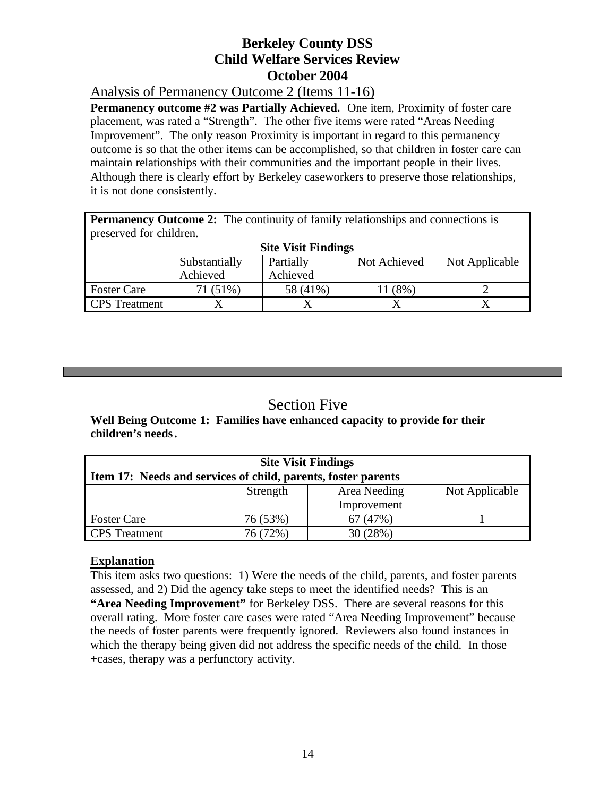Analysis of Permanency Outcome 2 (Items 11-16)

**Permanency outcome #2 was Partially Achieved.** One item, Proximity of foster care placement, was rated a "Strength". The other five items were rated "Areas Needing Improvement". The only reason Proximity is important in regard to this permanency outcome is so that the other items can be accomplished, so that children in foster care can maintain relationships with their communities and the important people in their lives. Although there is clearly effort by Berkeley caseworkers to preserve those relationships, it is not done consistently.

**Permanency Outcome 2:** The continuity of family relationships and connections is preserved for children.

| . .<br><b>Site Visit Findings</b> |               |           |              |                |  |
|-----------------------------------|---------------|-----------|--------------|----------------|--|
|                                   | Substantially | Partially | Not Achieved | Not Applicable |  |
|                                   | Achieved      | Achieved  |              |                |  |
| <b>Foster Care</b>                | 71 (51%)      | 58 (41%)  | $(8\%)$      |                |  |
| <b>CPS</b> Treatment              |               |           |              |                |  |

# Section Five

**Well Being Outcome 1: Families have enhanced capacity to provide for their children's needs.**

| <b>Site Visit Findings</b>                 |                                                               |         |  |  |  |  |
|--------------------------------------------|---------------------------------------------------------------|---------|--|--|--|--|
|                                            | Item 17: Needs and services of child, parents, foster parents |         |  |  |  |  |
| Area Needing<br>Not Applicable<br>Strength |                                                               |         |  |  |  |  |
|                                            | Improvement                                                   |         |  |  |  |  |
| <b>Foster Care</b>                         | 76 (53%)                                                      | 67(47%) |  |  |  |  |
| <b>CPS</b> Treatment                       | 76 (72%)                                                      | 30(28%) |  |  |  |  |

## **Explanation**

This item asks two questions: 1) Were the needs of the child, parents, and foster parents assessed, and 2) Did the agency take steps to meet the identified needs? This is an **"Area Needing Improvement"** for Berkeley DSS. There are several reasons for this overall rating. More foster care cases were rated "Area Needing Improvement" because the needs of foster parents were frequently ignored. Reviewers also found instances in which the therapy being given did not address the specific needs of the child. In those +cases, therapy was a perfunctory activity.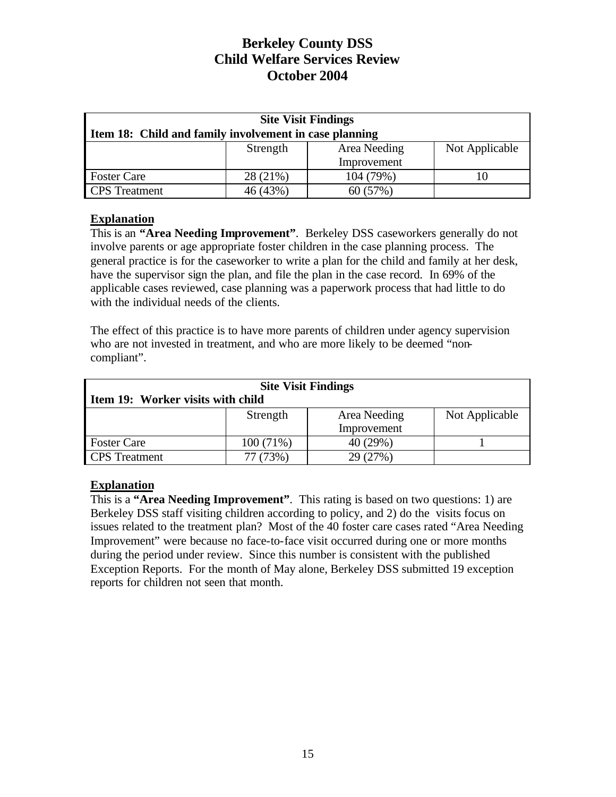| <b>Site Visit Findings</b>                             |             |              |                |  |  |  |
|--------------------------------------------------------|-------------|--------------|----------------|--|--|--|
| Item 18: Child and family involvement in case planning |             |              |                |  |  |  |
|                                                        | Strength    | Area Needing | Not Applicable |  |  |  |
|                                                        | Improvement |              |                |  |  |  |
| <b>Foster Care</b>                                     | 28 (21%)    | 104 (79%)    |                |  |  |  |
| <b>CPS</b> Treatment                                   | 46 (43%)    | 60 (57%)     |                |  |  |  |

#### **Explanation**

This is an **"Area Needing Improvement"**. Berkeley DSS caseworkers generally do not involve parents or age appropriate foster children in the case planning process. The general practice is for the caseworker to write a plan for the child and family at her desk, have the supervisor sign the plan, and file the plan in the case record. In 69% of the applicable cases reviewed, case planning was a paperwork process that had little to do with the individual needs of the clients.

The effect of this practice is to have more parents of children under agency supervision who are not invested in treatment, and who are more likely to be deemed "noncompliant".

| <b>Site Visit Findings</b>        |             |              |                |  |  |  |
|-----------------------------------|-------------|--------------|----------------|--|--|--|
| Item 19: Worker visits with child |             |              |                |  |  |  |
|                                   | Strength    | Area Needing | Not Applicable |  |  |  |
|                                   | Improvement |              |                |  |  |  |
| <b>Foster Care</b>                | 100(71%)    | 40 (29%)     |                |  |  |  |
| <b>CPS</b> Treatment              | 77 (73%)    | 29 (27%)     |                |  |  |  |

## **Explanation**

This is a **"Area Needing Improvement"**. This rating is based on two questions: 1) are Berkeley DSS staff visiting children according to policy, and 2) do the visits focus on issues related to the treatment plan? Most of the 40 foster care cases rated "Area Needing Improvement" were because no face-to-face visit occurred during one or more months during the period under review. Since this number is consistent with the published Exception Reports. For the month of May alone, Berkeley DSS submitted 19 exception reports for children not seen that month.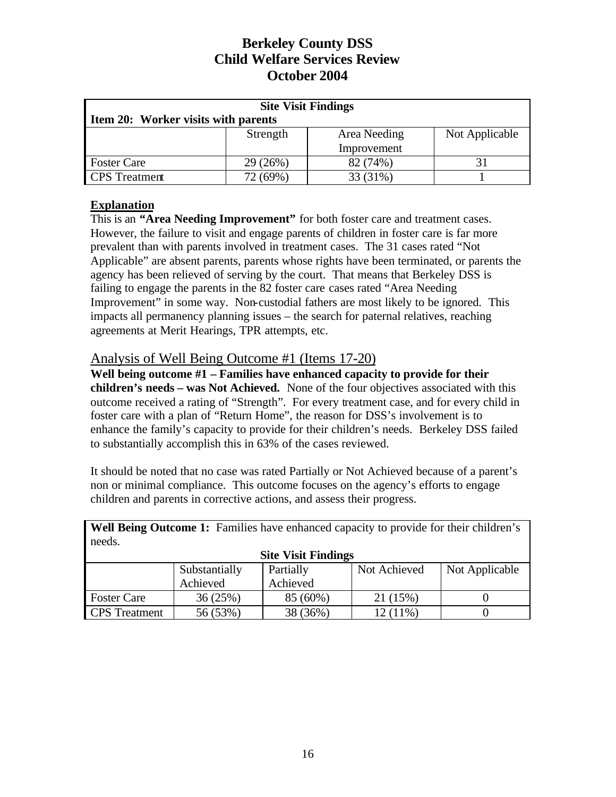| <b>Site Visit Findings</b>                 |                                     |          |  |  |  |  |
|--------------------------------------------|-------------------------------------|----------|--|--|--|--|
|                                            | Item 20: Worker visits with parents |          |  |  |  |  |
| Not Applicable<br>Strength<br>Area Needing |                                     |          |  |  |  |  |
| Improvement                                |                                     |          |  |  |  |  |
| <b>Foster Care</b>                         | 29 (26%)                            | 82 (74%) |  |  |  |  |
| <b>CPS</b> Treatment                       | 72 (69%)<br>33 (31%)                |          |  |  |  |  |

## **Explanation**

This is an **"Area Needing Improvement"** for both foster care and treatment cases. However, the failure to visit and engage parents of children in foster care is far more prevalent than with parents involved in treatment cases. The 31 cases rated "Not Applicable" are absent parents, parents whose rights have been terminated, or parents the agency has been relieved of serving by the court. That means that Berkeley DSS is failing to engage the parents in the 82 foster care cases rated "Area Needing Improvement" in some way. Non-custodial fathers are most likely to be ignored. This impacts all permanency planning issues – the search for paternal relatives, reaching agreements at Merit Hearings, TPR attempts, etc.

## Analysis of Well Being Outcome #1 (Items 17-20)

**Well being outcome #1 – Families have enhanced capacity to provide for their children's needs – was Not Achieved.** None of the four objectives associated with this outcome received a rating of "Strength". For every treatment case, and for every child in foster care with a plan of "Return Home", the reason for DSS's involvement is to enhance the family's capacity to provide for their children's needs. Berkeley DSS failed to substantially accomplish this in 63% of the cases reviewed.

It should be noted that no case was rated Partially or Not Achieved because of a parent's non or minimal compliance. This outcome focuses on the agency's efforts to engage children and parents in corrective actions, and assess their progress.

Well Being Outcome 1: Families have enhanced capacity to provide for their children's needs.

| <b>Site Visit Findings</b> |               |           |              |                |
|----------------------------|---------------|-----------|--------------|----------------|
|                            | Substantially | Partially | Not Achieved | Not Applicable |
|                            | Achieved      | Achieved  |              |                |
| <b>Foster Care</b>         | 36(25%)       | 85 (60%)  | 21 (15%)     |                |
| <b>CPS</b> Treatment       | 56 (53%)      | 38 (36%)  | $12(11\%)$   |                |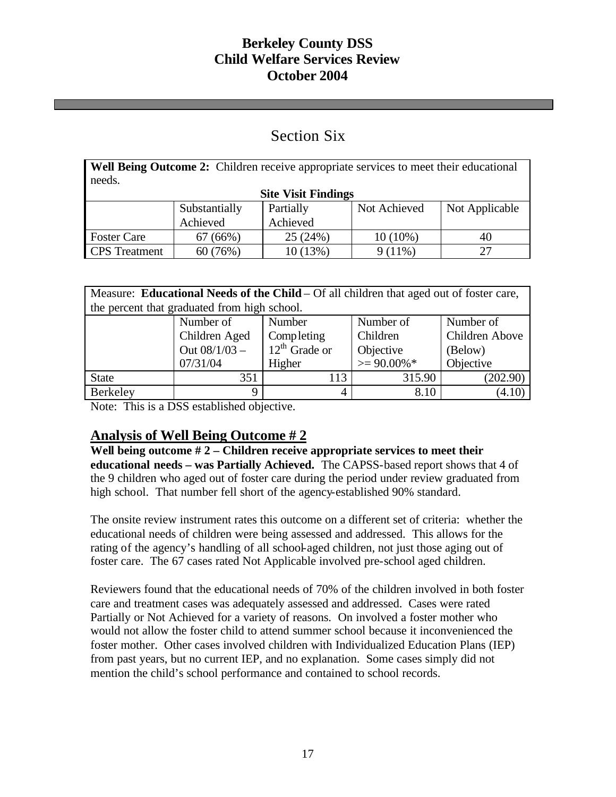# Section Six

**Well Being Outcome 2:** Children receive appropriate services to meet their educational needs.

| <b>Site Visit Findings</b> |               |           |              |                |
|----------------------------|---------------|-----------|--------------|----------------|
|                            | Substantially | Partially | Not Achieved | Not Applicable |
|                            | Achieved      | Achieved  |              |                |
| <b>Foster Care</b>         | 67(66%)       | 25(24%)   | $10(10\%)$   | 40             |
| <b>CPS</b> Treatment       | 60 (76%)      | 10 (13%)  | $9(11\%)$    |                |

| Measure: Educational Needs of the Child – Of all children that aged out of foster care, |                                              |                    |                |                |
|-----------------------------------------------------------------------------------------|----------------------------------------------|--------------------|----------------|----------------|
|                                                                                         | the percent that graduated from high school. |                    |                |                |
|                                                                                         | Number of                                    | Number             | Number of      | Number of      |
|                                                                                         | Children Aged                                | Completing         | Children       | Children Above |
|                                                                                         | Out $08/1/03 -$                              | $12^{th}$ Grade or | Objective      | (Below)        |
|                                                                                         | 07/31/04                                     | Higher             | $>= 90.00\%$ * | Objective      |
| <b>State</b>                                                                            | 351                                          | 113                | 315.90         | (202.90)       |
| Berkeley                                                                                | 9                                            |                    | 8.10           | (4.10)         |

Note: This is a DSS established objective.

# **Analysis of Well Being Outcome # 2**

**Well being outcome # 2 – Children receive appropriate services to meet their educational needs – was Partially Achieved.** The CAPSS-based report shows that 4 of the 9 children who aged out of foster care during the period under review graduated from high school. That number fell short of the agency-established 90% standard.

The onsite review instrument rates this outcome on a different set of criteria: whether the educational needs of children were being assessed and addressed. This allows for the rating of the agency's handling of all school-aged children, not just those aging out of foster care. The 67 cases rated Not Applicable involved pre-school aged children.

Reviewers found that the educational needs of 70% of the children involved in both foster care and treatment cases was adequately assessed and addressed. Cases were rated Partially or Not Achieved for a variety of reasons. On involved a foster mother who would not allow the foster child to attend summer school because it inconvenienced the foster mother. Other cases involved children with Individualized Education Plans (IEP) from past years, but no current IEP, and no explanation. Some cases simply did not mention the child's school performance and contained to school records.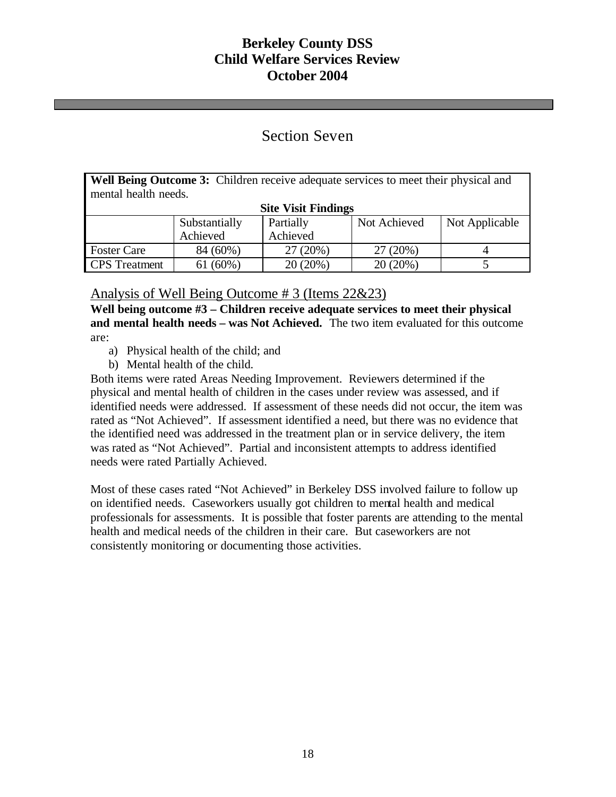## Section Seven

**Well Being Outcome 3:** Children receive adequate services to meet their physical and mental health needs.

| <b>Site Visit Findings</b> |               |           |              |                |
|----------------------------|---------------|-----------|--------------|----------------|
|                            | Substantially | Partially | Not Achieved | Not Applicable |
|                            | Achieved      | Achieved  |              |                |
| <b>Foster Care</b>         | 84 (60%)      | 27(20%)   | 27 (20%)     |                |
| <b>CPS</b> Treatment       | 61(60%)       | 20(20%)   | 20(20%)      |                |

## Analysis of Well Being Outcome # 3 (Items 22&23)

**Well being outcome #3 – Children receive adequate services to meet their physical and mental health needs – was Not Achieved.** The two item evaluated for this outcome are:

- a) Physical health of the child; and
- b) Mental health of the child.

Both items were rated Areas Needing Improvement. Reviewers determined if the physical and mental health of children in the cases under review was assessed, and if identified needs were addressed. If assessment of these needs did not occur, the item was rated as "Not Achieved". If assessment identified a need, but there was no evidence that the identified need was addressed in the treatment plan or in service delivery, the item was rated as "Not Achieved". Partial and inconsistent attempts to address identified needs were rated Partially Achieved.

Most of these cases rated "Not Achieved" in Berkeley DSS involved failure to follow up on identified needs. Caseworkers usually got children to mental health and medical professionals for assessments. It is possible that foster parents are attending to the mental health and medical needs of the children in their care. But caseworkers are not consistently monitoring or documenting those activities.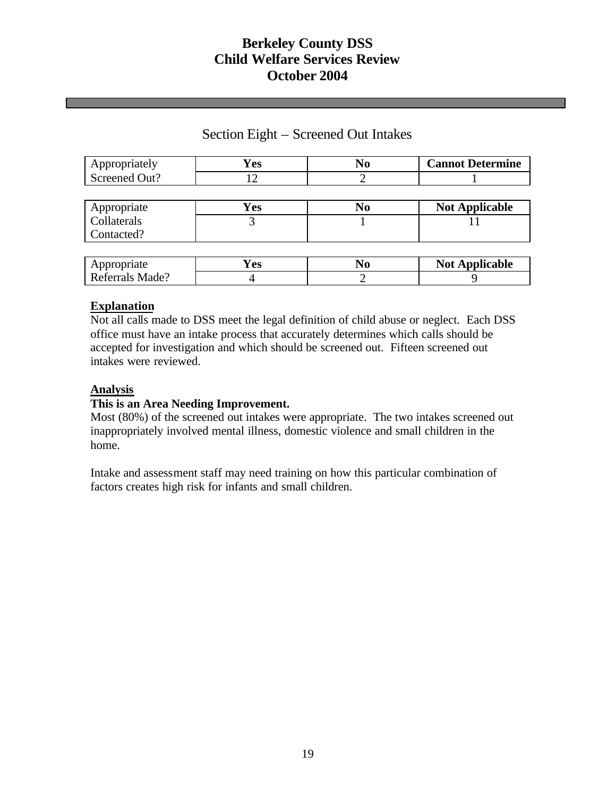## Section Eight – Screened Out Intakes

| Appropriately | Yes | N <sub>0</sub> | <b>Cannot Determine</b> |
|---------------|-----|----------------|-------------------------|
| Screened Out? |     |                |                         |
|               |     |                |                         |
| Appropriate   | Yes | N <sub>0</sub> | <b>Not Applicable</b>   |
| Collaterals   |     |                |                         |
| Contacted?    |     |                |                         |

| Appropriate     | ′ es |  | <b>Not Applicable</b> |  |  |
|-----------------|------|--|-----------------------|--|--|
| Referrals Made? |      |  |                       |  |  |

#### **Explanation**

Not all calls made to DSS meet the legal definition of child abuse or neglect. Each DSS office must have an intake process that accurately determines which calls should be accepted for investigation and which should be screened out. Fifteen screened out intakes were reviewed.

#### **Analysis**

#### **This is an Area Needing Improvement.**

Most (80%) of the screened out intakes were appropriate. The two intakes screened out inappropriately involved mental illness, domestic violence and small children in the home.

Intake and assessment staff may need training on how this particular combination of factors creates high risk for infants and small children.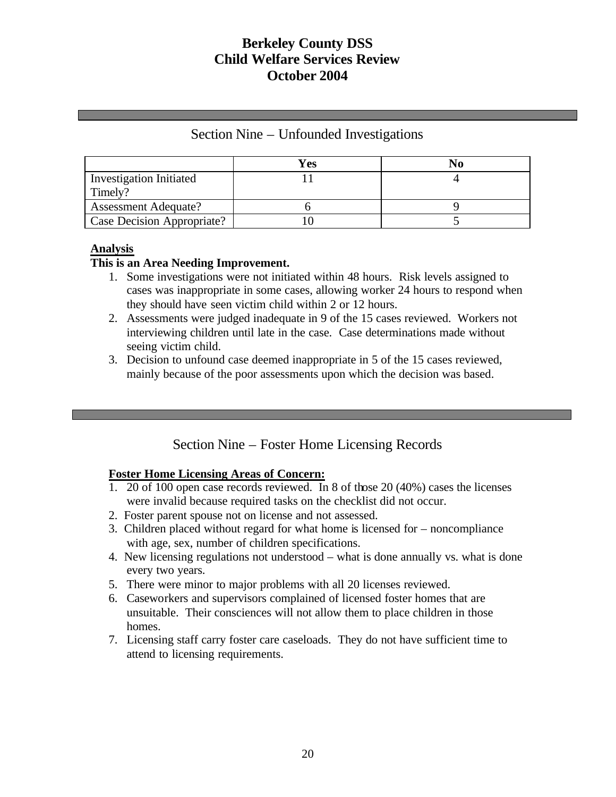|  |  | Section Nine – Unfounded Investigations |
|--|--|-----------------------------------------|
|--|--|-----------------------------------------|

|                                | Yes |  |
|--------------------------------|-----|--|
| <b>Investigation Initiated</b> |     |  |
| Timely?                        |     |  |
| <b>Assessment Adequate?</b>    |     |  |
| Case Decision Appropriate?     |     |  |

## **Analysis**

#### **This is an Area Needing Improvement.**

- 1. Some investigations were not initiated within 48 hours. Risk levels assigned to cases was inappropriate in some cases, allowing worker 24 hours to respond when they should have seen victim child within 2 or 12 hours.
- 2. Assessments were judged inadequate in 9 of the 15 cases reviewed. Workers not interviewing children until late in the case. Case determinations made without seeing victim child.
- 3. Decision to unfound case deemed inappropriate in 5 of the 15 cases reviewed, mainly because of the poor assessments upon which the decision was based.

# Section Nine – Foster Home Licensing Records

#### **Foster Home Licensing Areas of Concern:**

- 1. 20 of 100 open case records reviewed. In 8 of those 20 (40%) cases the licenses were invalid because required tasks on the checklist did not occur.
- 2. Foster parent spouse not on license and not assessed.
- 3. Children placed without regard for what home is licensed for noncompliance with age, sex, number of children specifications.
- 4. New licensing regulations not understood what is done annually vs. what is done every two years.
- 5. There were minor to major problems with all 20 licenses reviewed.
- 6. Caseworkers and supervisors complained of licensed foster homes that are unsuitable. Their consciences will not allow them to place children in those homes.
- 7. Licensing staff carry foster care caseloads. They do not have sufficient time to attend to licensing requirements.